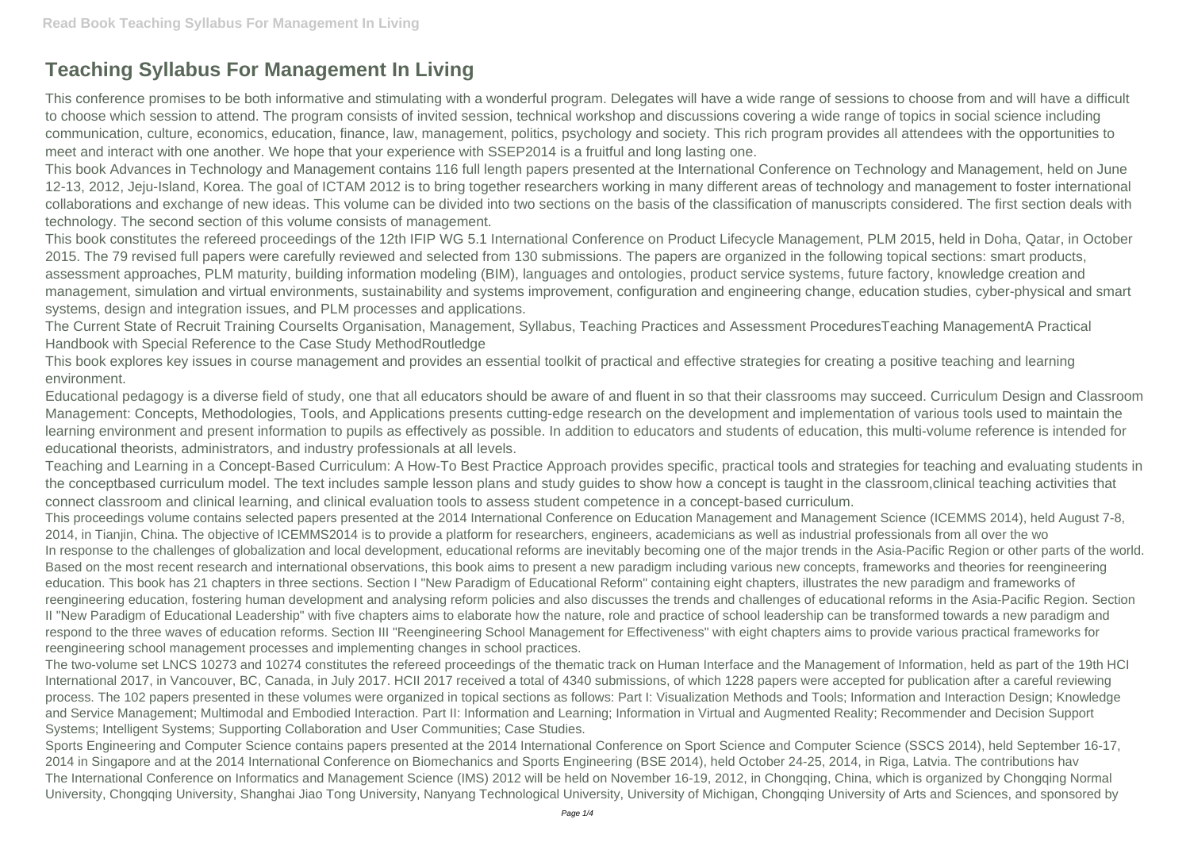## **Teaching Syllabus For Management In Living**

This conference promises to be both informative and stimulating with a wonderful program. Delegates will have a wide range of sessions to choose from and will have a difficult to choose which session to attend. The program consists of invited session, technical workshop and discussions covering a wide range of topics in social science including communication, culture, economics, education, finance, law, management, politics, psychology and society. This rich program provides all attendees with the opportunities to meet and interact with one another. We hope that your experience with SSEP2014 is a fruitful and long lasting one.

This book Advances in Technology and Management contains 116 full length papers presented at the International Conference on Technology and Management, held on June 12-13, 2012, Jeju-Island, Korea. The goal of ICTAM 2012 is to bring together researchers working in many different areas of technology and management to foster international collaborations and exchange of new ideas. This volume can be divided into two sections on the basis of the classification of manuscripts considered. The first section deals with technology. The second section of this volume consists of management.

The Current State of Recruit Training Courselts Organisation, Management, Syllabus, Teaching Practices and Assessment ProceduresTeaching ManagementA Practical Handbook with Special Reference to the Case Study MethodRoutledge

This book constitutes the refereed proceedings of the 12th IFIP WG 5.1 International Conference on Product Lifecycle Management, PLM 2015, held in Doha, Qatar, in October 2015. The 79 revised full papers were carefully reviewed and selected from 130 submissions. The papers are organized in the following topical sections: smart products, assessment approaches, PLM maturity, building information modeling (BIM), languages and ontologies, product service systems, future factory, knowledge creation and management, simulation and virtual environments, sustainability and systems improvement, configuration and engineering change, education studies, cyber-physical and smart systems, design and integration issues, and PLM processes and applications.

This book explores key issues in course management and provides an essential toolkit of practical and effective strategies for creating a positive teaching and learning environment.

Educational pedagogy is a diverse field of study, one that all educators should be aware of and fluent in so that their classrooms may succeed. Curriculum Design and Classroom Management: Concepts, Methodologies, Tools, and Applications presents cutting-edge research on the development and implementation of various tools used to maintain the learning environment and present information to pupils as effectively as possible. In addition to educators and students of education, this multi-volume reference is intended for educational theorists, administrators, and industry professionals at all levels.

Teaching and Learning in a Concept-Based Curriculum: A How-To Best Practice Approach provides specific, practical tools and strategies for teaching and evaluating students in the conceptbased curriculum model. The text includes sample lesson plans and study guides to show how a concept is taught in the classroom,clinical teaching activities that connect classroom and clinical learning, and clinical evaluation tools to assess student competence in a concept-based curriculum.

This proceedings volume contains selected papers presented at the 2014 International Conference on Education Management and Management Science (ICEMMS 2014), held August 7-8, 2014, in Tianjin, China. The objective of ICEMMS2014 is to provide a platform for researchers, engineers, academicians as well as industrial professionals from all over the wo In response to the challenges of globalization and local development, educational reforms are inevitably becoming one of the major trends in the Asia-Pacific Region or other parts of the world. Based on the most recent research and international observations, this book aims to present a new paradigm including various new concepts, frameworks and theories for reengineering education. This book has 21 chapters in three sections. Section I "New Paradigm of Educational Reform" containing eight chapters, illustrates the new paradigm and frameworks of reengineering education, fostering human development and analysing reform policies and also discusses the trends and challenges of educational reforms in the Asia-Pacific Region. Section II "New Paradigm of Educational Leadership" with five chapters aims to elaborate how the nature, role and practice of school leadership can be transformed towards a new paradigm and respond to the three waves of education reforms. Section III "Reengineering School Management for Effectiveness" with eight chapters aims to provide various practical frameworks for reengineering school management processes and implementing changes in school practices.

The two-volume set LNCS 10273 and 10274 constitutes the refereed proceedings of the thematic track on Human Interface and the Management of Information, held as part of the 19th HCI International 2017, in Vancouver, BC, Canada, in July 2017. HCII 2017 received a total of 4340 submissions, of which 1228 papers were accepted for publication after a careful reviewing process. The 102 papers presented in these volumes were organized in topical sections as follows: Part I: Visualization Methods and Tools; Information and Interaction Design; Knowledge and Service Management; Multimodal and Embodied Interaction. Part II: Information and Learning; Information in Virtual and Augmented Reality; Recommender and Decision Support Systems; Intelligent Systems; Supporting Collaboration and User Communities; Case Studies.

Sports Engineering and Computer Science contains papers presented at the 2014 International Conference on Sport Science and Computer Science (SSCS 2014), held September 16-17, 2014 in Singapore and at the 2014 International Conference on Biomechanics and Sports Engineering (BSE 2014), held October 24-25, 2014, in Riga, Latvia. The contributions hav The International Conference on Informatics and Management Science (IMS) 2012 will be held on November 16-19, 2012, in Chongqing, China, which is organized by Chongqing Normal University, Chongqing University, Shanghai Jiao Tong University, Nanyang Technological University, University of Michigan, Chongqing University of Arts and Sciences, and sponsored by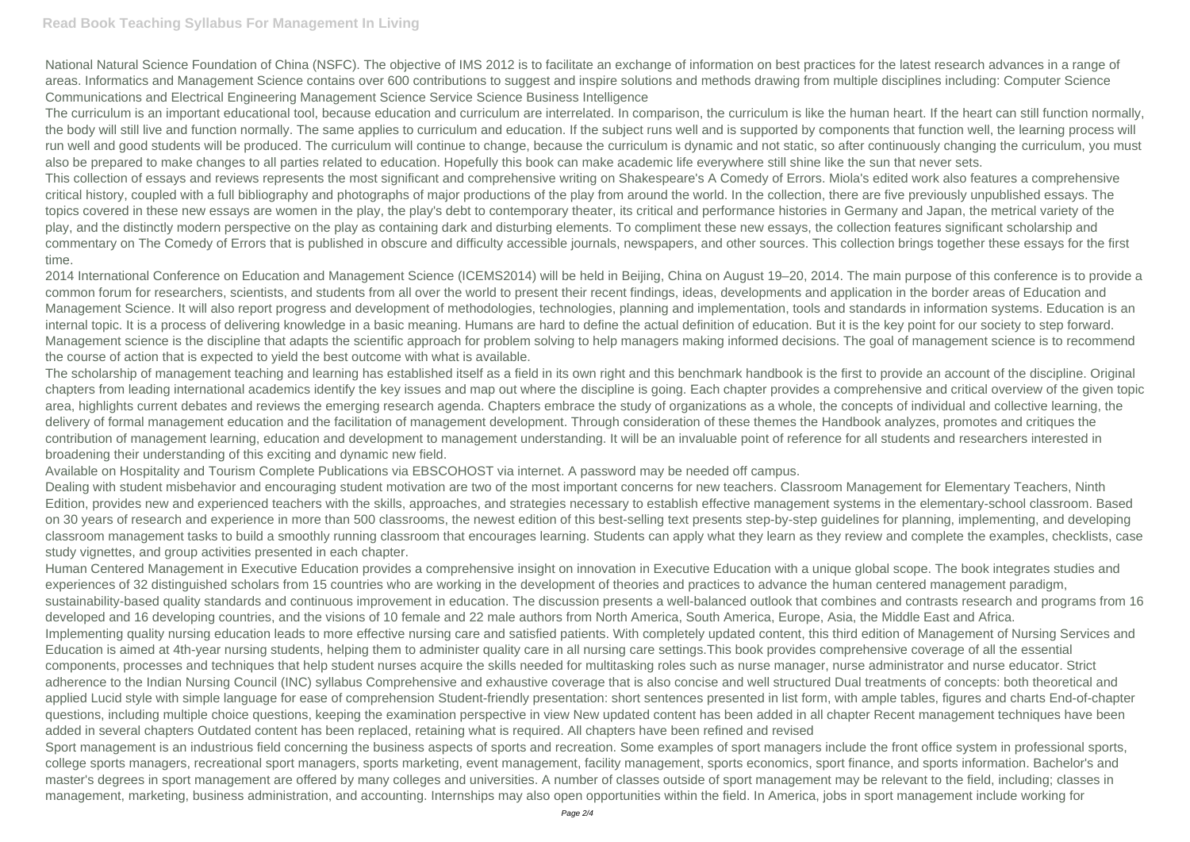## **Read Book Teaching Syllabus For Management In Living**

National Natural Science Foundation of China (NSFC). The objective of IMS 2012 is to facilitate an exchange of information on best practices for the latest research advances in a range of areas. Informatics and Management Science contains over 600 contributions to suggest and inspire solutions and methods drawing from multiple disciplines including: Computer Science Communications and Electrical Engineering Management Science Service Science Business Intelligence

The curriculum is an important educational tool, because education and curriculum are interrelated. In comparison, the curriculum is like the human heart. If the heart can still function normally, the body will still live and function normally. The same applies to curriculum and education. If the subject runs well and is supported by components that function well, the learning process will run well and good students will be produced. The curriculum will continue to change, because the curriculum is dynamic and not static, so after continuously changing the curriculum, you must also be prepared to make changes to all parties related to education. Hopefully this book can make academic life everywhere still shine like the sun that never sets. This collection of essays and reviews represents the most significant and comprehensive writing on Shakespeare's A Comedy of Errors. Miola's edited work also features a comprehensive critical history, coupled with a full bibliography and photographs of major productions of the play from around the world. In the collection, there are five previously unpublished essays. The topics covered in these new essays are women in the play, the play's debt to contemporary theater, its critical and performance histories in Germany and Japan, the metrical variety of the play, and the distinctly modern perspective on the play as containing dark and disturbing elements. To compliment these new essays, the collection features significant scholarship and commentary on The Comedy of Errors that is published in obscure and difficulty accessible journals, newspapers, and other sources. This collection brings together these essays for the first time.

2014 International Conference on Education and Management Science (ICEMS2014) will be held in Beijing, China on August 19–20, 2014. The main purpose of this conference is to provide a common forum for researchers, scientists, and students from all over the world to present their recent findings, ideas, developments and application in the border areas of Education and Management Science. It will also report progress and development of methodologies, technologies, planning and implementation, tools and standards in information systems. Education is an internal topic. It is a process of delivering knowledge in a basic meaning. Humans are hard to define the actual definition of education. But it is the key point for our society to step forward. Management science is the discipline that adapts the scientific approach for problem solving to help managers making informed decisions. The goal of management science is to recommend the course of action that is expected to yield the best outcome with what is available.

The scholarship of management teaching and learning has established itself as a field in its own right and this benchmark handbook is the first to provide an account of the discipline. Original chapters from leading international academics identify the key issues and map out where the discipline is going. Each chapter provides a comprehensive and critical overview of the given topic area, highlights current debates and reviews the emerging research agenda. Chapters embrace the study of organizations as a whole, the concepts of individual and collective learning, the delivery of formal management education and the facilitation of management development. Through consideration of these themes the Handbook analyzes, promotes and critiques the contribution of management learning, education and development to management understanding. It will be an invaluable point of reference for all students and researchers interested in broadening their understanding of this exciting and dynamic new field.

Sport management is an industrious field concerning the business aspects of sports and recreation. Some examples of sport managers include the front office system in professional sports, college sports managers, recreational sport managers, sports marketing, event management, facility management, sports economics, sport finance, and sports information. Bachelor's and master's degrees in sport management are offered by many colleges and universities. A number of classes outside of sport management may be relevant to the field, including; classes in management, marketing, business administration, and accounting. Internships may also open opportunities within the field. In America, jobs in sport management include working for

Available on Hospitality and Tourism Complete Publications via EBSCOHOST via internet. A password may be needed off campus.

Dealing with student misbehavior and encouraging student motivation are two of the most important concerns for new teachers. Classroom Management for Elementary Teachers, Ninth Edition, provides new and experienced teachers with the skills, approaches, and strategies necessary to establish effective management systems in the elementary-school classroom. Based on 30 years of research and experience in more than 500 classrooms, the newest edition of this best-selling text presents step-by-step guidelines for planning, implementing, and developing classroom management tasks to build a smoothly running classroom that encourages learning. Students can apply what they learn as they review and complete the examples, checklists, case study vignettes, and group activities presented in each chapter.

Human Centered Management in Executive Education provides a comprehensive insight on innovation in Executive Education with a unique global scope. The book integrates studies and experiences of 32 distinguished scholars from 15 countries who are working in the development of theories and practices to advance the human centered management paradigm, sustainability-based quality standards and continuous improvement in education. The discussion presents a well-balanced outlook that combines and contrasts research and programs from 16 developed and 16 developing countries, and the visions of 10 female and 22 male authors from North America, South America, Europe, Asia, the Middle East and Africa. Implementing quality nursing education leads to more effective nursing care and satisfied patients. With completely updated content, this third edition of Management of Nursing Services and Education is aimed at 4th-year nursing students, helping them to administer quality care in all nursing care settings.This book provides comprehensive coverage of all the essential components, processes and techniques that help student nurses acquire the skills needed for multitasking roles such as nurse manager, nurse administrator and nurse educator. Strict adherence to the Indian Nursing Council (INC) syllabus Comprehensive and exhaustive coverage that is also concise and well structured Dual treatments of concepts: both theoretical and applied Lucid style with simple language for ease of comprehension Student-friendly presentation: short sentences presented in list form, with ample tables, figures and charts End-of-chapter questions, including multiple choice questions, keeping the examination perspective in view New updated content has been added in all chapter Recent management techniques have been added in several chapters Outdated content has been replaced, retaining what is required. All chapters have been refined and revised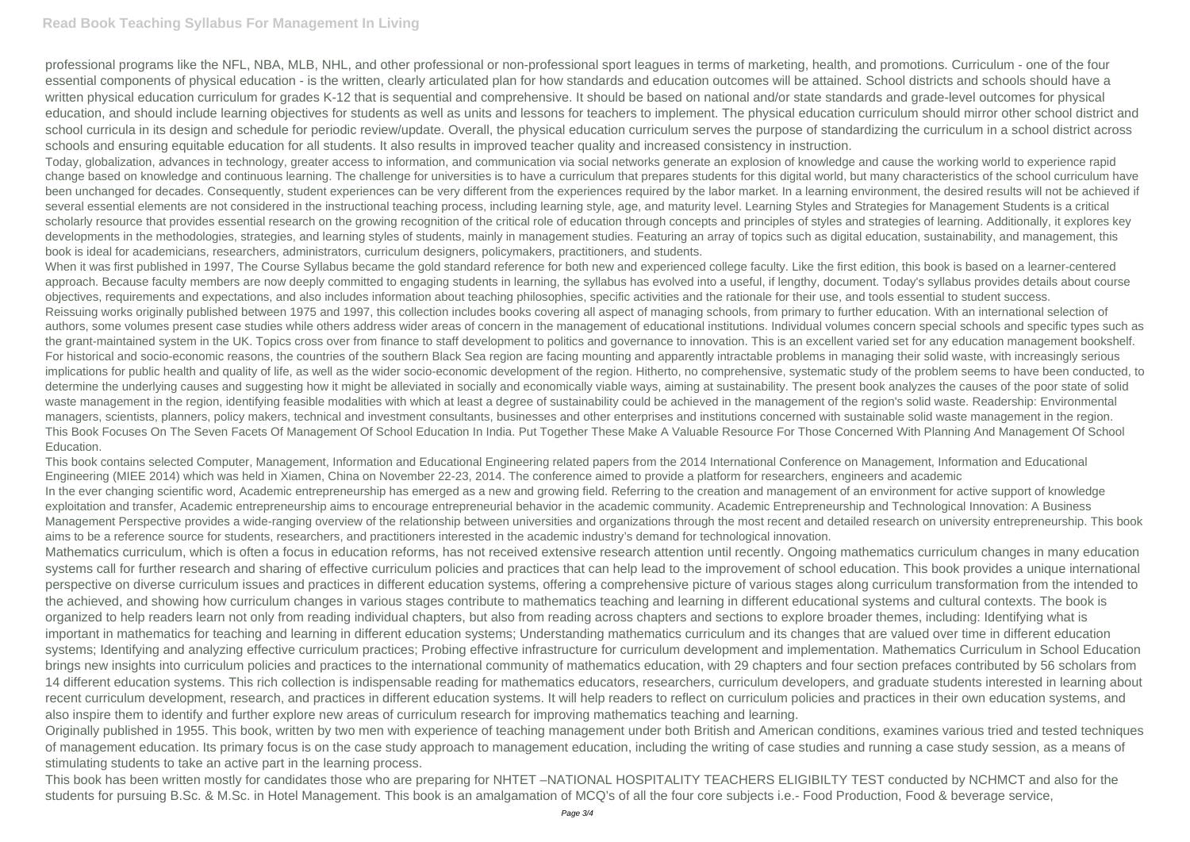## **Read Book Teaching Syllabus For Management In Living**

professional programs like the NFL, NBA, MLB, NHL, and other professional or non-professional sport leagues in terms of marketing, health, and promotions. Curriculum - one of the four essential components of physical education - is the written, clearly articulated plan for how standards and education outcomes will be attained. School districts and schools should have a written physical education curriculum for grades K-12 that is sequential and comprehensive. It should be based on national and/or state standards and grade-level outcomes for physical education, and should include learning objectives for students as well as units and lessons for teachers to implement. The physical education curriculum should mirror other school district and school curricula in its design and schedule for periodic review/update. Overall, the physical education curriculum serves the purpose of standardizing the curriculum in a school district across schools and ensuring equitable education for all students. It also results in improved teacher quality and increased consistency in instruction.

Today, globalization, advances in technology, greater access to information, and communication via social networks generate an explosion of knowledge and cause the working world to experience rapid change based on knowledge and continuous learning. The challenge for universities is to have a curriculum that prepares students for this digital world, but many characteristics of the school curriculum have been unchanged for decades. Consequently, student experiences can be very different from the experiences required by the labor market. In a learning environment, the desired results will not be achieved if several essential elements are not considered in the instructional teaching process, including learning style, age, and maturity level. Learning Styles and Strategies for Management Students is a critical scholarly resource that provides essential research on the growing recognition of the critical role of education through concepts and principles of styles and strategies of learning. Additionally, it explores key developments in the methodologies, strategies, and learning styles of students, mainly in management studies. Featuring an array of topics such as digital education, sustainability, and management, this book is ideal for academicians, researchers, administrators, curriculum designers, policymakers, practitioners, and students.

When it was first published in 1997, The Course Syllabus became the gold standard reference for both new and experienced college faculty. Like the first edition, this book is based on a learner-centered approach. Because faculty members are now deeply committed to engaging students in learning, the syllabus has evolved into a useful, if lengthy, document. Today's syllabus provides details about course objectives, requirements and expectations, and also includes information about teaching philosophies, specific activities and the rationale for their use, and tools essential to student success. Reissuing works originally published between 1975 and 1997, this collection includes books covering all aspect of managing schools, from primary to further education. With an international selection of authors, some volumes present case studies while others address wider areas of concern in the management of educational institutions. Individual volumes concern special schools and specific types such as the grant-maintained system in the UK. Topics cross over from finance to staff development to politics and governance to innovation. This is an excellent varied set for any education management bookshelf. For historical and socio-economic reasons, the countries of the southern Black Sea region are facing mounting and apparently intractable problems in managing their solid waste, with increasingly serious implications for public health and quality of life, as well as the wider socio-economic development of the region. Hitherto, no comprehensive, systematic study of the problem seems to have been conducted, to determine the underlying causes and suggesting how it might be alleviated in socially and economically viable ways, aiming at sustainability. The present book analyzes the causes of the poor state of solid waste management in the region, identifying feasible modalities with which at least a degree of sustainability could be achieved in the management of the region's solid waste. Readership: Environmental managers, scientists, planners, policy makers, technical and investment consultants, businesses and other enterprises and institutions concerned with sustainable solid waste management in the region. This Book Focuses On The Seven Facets Of Management Of School Education In India. Put Together These Make A Valuable Resource For Those Concerned With Planning And Management Of School Education.

This book contains selected Computer, Management, Information and Educational Engineering related papers from the 2014 International Conference on Management, Information and Educational Engineering (MIEE 2014) which was held in Xiamen, China on November 22-23, 2014. The conference aimed to provide a platform for researchers, engineers and academic In the ever changing scientific word, Academic entrepreneurship has emerged as a new and growing field. Referring to the creation and management of an environment for active support of knowledge exploitation and transfer, Academic entrepreneurship aims to encourage entrepreneurial behavior in the academic community. Academic Entrepreneurship and Technological Innovation: A Business Management Perspective provides a wide-ranging overview of the relationship between universities and organizations through the most recent and detailed research on university entrepreneurship. This book aims to be a reference source for students, researchers, and practitioners interested in the academic industry's demand for technological innovation.

Mathematics curriculum, which is often a focus in education reforms, has not received extensive research attention until recently. Ongoing mathematics curriculum changes in many education systems call for further research and sharing of effective curriculum policies and practices that can help lead to the improvement of school education. This book provides a unique international perspective on diverse curriculum issues and practices in different education systems, offering a comprehensive picture of various stages along curriculum transformation from the intended to the achieved, and showing how curriculum changes in various stages contribute to mathematics teaching and learning in different educational systems and cultural contexts. The book is organized to help readers learn not only from reading individual chapters, but also from reading across chapters and sections to explore broader themes, including: Identifying what is important in mathematics for teaching and learning in different education systems; Understanding mathematics curriculum and its changes that are valued over time in different education systems; Identifying and analyzing effective curriculum practices; Probing effective infrastructure for curriculum development and implementation. Mathematics Curriculum in School Education brings new insights into curriculum policies and practices to the international community of mathematics education, with 29 chapters and four section prefaces contributed by 56 scholars from 14 different education systems. This rich collection is indispensable reading for mathematics educators, researchers, curriculum developers, and graduate students interested in learning about recent curriculum development, research, and practices in different education systems. It will help readers to reflect on curriculum policies and practices in their own education systems, and also inspire them to identify and further explore new areas of curriculum research for improving mathematics teaching and learning.

Originally published in 1955. This book, written by two men with experience of teaching management under both British and American conditions, examines various tried and tested techniques of management education. Its primary focus is on the case study approach to management education, including the writing of case studies and running a case study session, as a means of stimulating students to take an active part in the learning process.

This book has been written mostly for candidates those who are preparing for NHTET –NATIONAL HOSPITALITY TEACHERS ELIGIBILTY TEST conducted by NCHMCT and also for the students for pursuing B.Sc. & M.Sc. in Hotel Management. This book is an amalgamation of MCQ's of all the four core subjects i.e.- Food Production, Food & beverage service,